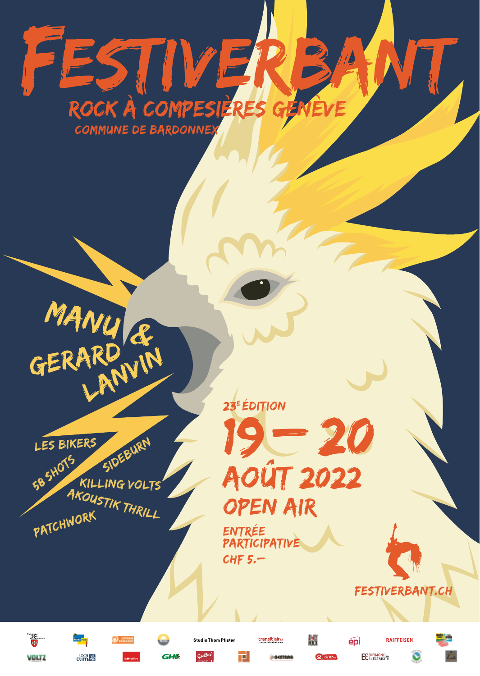## FESTIVEI ROCK À COMPESIÈRES GEN IEVE

23<sup>E</sup> ÉDITION



MANU &

GERARD VIN

**LES BIKERS** 

VOLTZ

 $\epsilon$ um $\mathbb{R}$ 

OPEN AIR OPEN AIR AOÛT 2022 AOÛT 2022 19– 20

牌

epi

BEROMOND.

**PARTICIPATIVE** Participative CHF 5.– CHF 5.– Entrée

transit'airs

ار

**GHB** 



**RAIFFEISEN** 

O